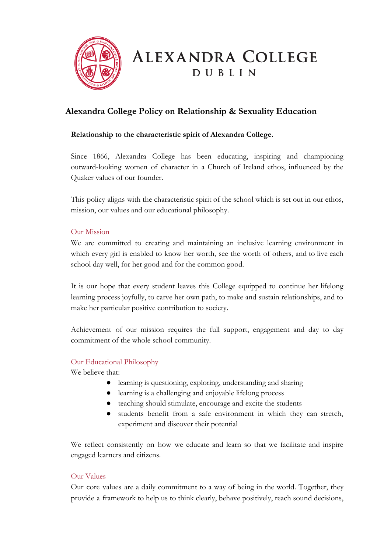

# **Alexandra College Policy on Relationship & Sexuality Education**

# **Relationship to the characteristic spirit of Alexandra College.**

Since 1866, Alexandra College has been educating, inspiring and championing outward-looking women of character in a Church of Ireland ethos, influenced by the Quaker values of our founder.

This policy aligns with the characteristic spirit of the school which is set out in our ethos, mission, our values and our educational philosophy.

# Our Mission

We are committed to creating and maintaining an inclusive learning environment in which every girl is enabled to know her worth, see the worth of others, and to live each school day well, for her good and for the common good.

It is our hope that every student leaves this College equipped to continue her lifelong learning process joyfully, to carve her own path, to make and sustain relationships, and to make her particular positive contribution to society.

Achievement of our mission requires the full support, engagement and day to day commitment of the whole school community.

# Our Educational Philosophy

We believe that:

- learning is questioning, exploring, understanding and sharing
- learning is a challenging and enjoyable lifelong process
- teaching should stimulate, encourage and excite the students
- students benefit from a safe environment in which they can stretch, experiment and discover their potential

We reflect consistently on how we educate and learn so that we facilitate and inspire engaged learners and citizens.

# Our Values

Our core values are a daily commitment to a way of being in the world. Together, they provide a framework to help us to think clearly, behave positively, reach sound decisions,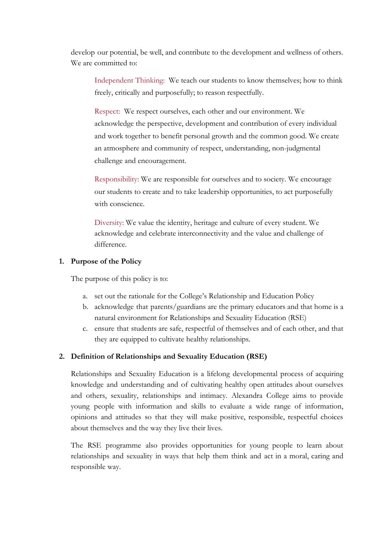develop our potential, be well, and contribute to the development and wellness of others. We are committed to:

Independent Thinking: We teach our students to know themselves; how to think freely, critically and purposefully; to reason respectfully.

Respect: We respect ourselves, each other and our environment. We acknowledge the perspective, development and contribution of every individual and work together to benefit personal growth and the common good. We create an atmosphere and community of respect, understanding, non-judgmental challenge and encouragement.

Responsibility: We are responsible for ourselves and to society. We encourage our students to create and to take leadership opportunities, to act purposefully with conscience.

Diversity: We value the identity, heritage and culture of every student. We acknowledge and celebrate interconnectivity and the value and challenge of difference.

## **1. Purpose of the Policy**

The purpose of this policy is to:

- a. set out the rationale for the College's Relationship and Education Policy
- b. acknowledge that parents/guardians are the primary educators and that home is a natural environment for Relationships and Sexuality Education (RSE)
- c. ensure that students are safe, respectful of themselves and of each other, and that they are equipped to cultivate healthy relationships.

# **2. Definition of Relationships and Sexuality Education (RSE)**

Relationships and Sexuality Education is a lifelong developmental process of acquiring knowledge and understanding and of cultivating healthy open attitudes about ourselves and others, sexuality, relationships and intimacy. Alexandra College aims to provide young people with information and skills to evaluate a wide range of information, opinions and attitudes so that they will make positive, responsible, respectful choices about themselves and the way they live their lives.

The RSE programme also provides opportunities for young people to learn about relationships and sexuality in ways that help them think and act in a moral, caring and responsible way.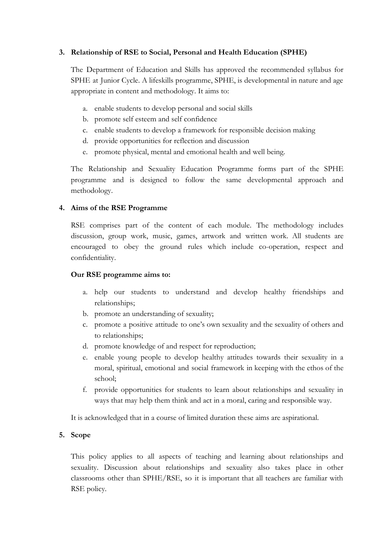## **3. Relationship of RSE to Social, Personal and Health Education (SPHE)**

The Department of Education and Skills has approved the recommended syllabus for SPHE at Junior Cycle. A lifeskills programme, SPHE, is developmental in nature and age appropriate in content and methodology. It aims to:

- a. enable students to develop personal and social skills
- b. promote self esteem and self confidence
- c. enable students to develop a framework for responsible decision making
- d. provide opportunities for reflection and discussion
- e. promote physical, mental and emotional health and well being.

The Relationship and Sexuality Education Programme forms part of the SPHE programme and is designed to follow the same developmental approach and methodology.

## **4. Aims of the RSE Programme**

RSE comprises part of the content of each module. The methodology includes discussion, group work, music, games, artwork and written work. All students are encouraged to obey the ground rules which include co-operation, respect and confidentiality.

## **Our RSE programme aims to:**

- a. help our students to understand and develop healthy friendships and relationships;
- b. promote an understanding of sexuality;
- c. promote a positive attitude to one's own sexuality and the sexuality of others and to relationships;
- d. promote knowledge of and respect for reproduction;
- e. enable young people to develop healthy attitudes towards their sexuality in a moral, spiritual, emotional and social framework in keeping with the ethos of the school;
- f. provide opportunities for students to learn about relationships and sexuality in ways that may help them think and act in a moral, caring and responsible way.

It is acknowledged that in a course of limited duration these aims are aspirational.

## **5. Scope**

This policy applies to all aspects of teaching and learning about relationships and sexuality. Discussion about relationships and sexuality also takes place in other classrooms other than SPHE/RSE, so it is important that all teachers are familiar with RSE policy.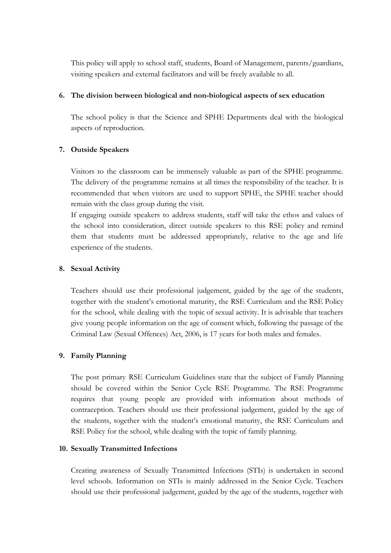This policy will apply to school staff, students, Board of Management, parents/guardians, visiting speakers and external facilitators and will be freely available to all.

## **6. The division between biological and non-biological aspects of sex education**

The school policy is that the Science and SPHE Departments deal with the biological aspects of reproduction.

# **7. Outside Speakers**

Visitors to the classroom can be immensely valuable as part of the SPHE programme. The delivery of the programme remains at all times the responsibility of the teacher. It is recommended that when visitors are used to support SPHE, the SPHE teacher should remain with the class group during the visit.

If engaging outside speakers to address students, staff will take the ethos and values of the school into consideration, direct outside speakers to this RSE policy and remind them that students must be addressed appropriately, relative to the age and life experience of the students.

## **8. Sexual Activity**

Teachers should use their professional judgement, guided by the age of the students, together with the student's emotional maturity, the RSE Curriculum and the RSE Policy for the school, while dealing with the topic of sexual activity. It is advisable that teachers give young people information on the age of consent which, following the passage of the Criminal Law (Sexual Offences) Act, 2006, is 17 years for both males and females.

# **9. Family Planning**

The post primary RSE Curriculum Guidelines state that the subject of Family Planning should be covered within the Senior Cycle RSE Programme. The RSE Programme requires that young people are provided with information about methods of contraception. Teachers should use their professional judgement, guided by the age of the students, together with the student's emotional maturity, the RSE Curriculum and RSE Policy for the school, while dealing with the topic of family planning.

## **10. Sexually Transmitted Infections**

Creating awareness of Sexually Transmitted Infections (STIs) is undertaken in second level schools. Information on STIs is mainly addressed in the Senior Cycle. Teachers should use their professional judgement, guided by the age of the students, together with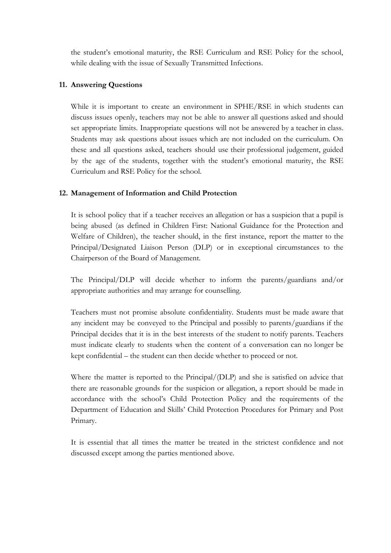the student's emotional maturity, the RSE Curriculum and RSE Policy for the school, while dealing with the issue of Sexually Transmitted Infections.

## **11. Answering Questions**

While it is important to create an environment in SPHE/RSE in which students can discuss issues openly, teachers may not be able to answer all questions asked and should set appropriate limits. Inappropriate questions will not be answered by a teacher in class. Students may ask questions about issues which are not included on the curriculum. On these and all questions asked, teachers should use their professional judgement, guided by the age of the students, together with the student's emotional maturity, the RSE Curriculum and RSE Policy for the school.

#### **12. Management of Information and Child Protection**

It is school policy that if a teacher receives an allegation or has a suspicion that a pupil is being abused (as defined in Children First: National Guidance for the Protection and Welfare of Children), the teacher should, in the first instance, report the matter to the Principal/Designated Liaison Person (DLP) or in exceptional circumstances to the Chairperson of the Board of Management.

The Principal/DLP will decide whether to inform the parents/guardians and/or appropriate authorities and may arrange for counselling.

Teachers must not promise absolute confidentiality. Students must be made aware that any incident may be conveyed to the Principal and possibly to parents/guardians if the Principal decides that it is in the best interests of the student to notify parents. Teachers must indicate clearly to students when the content of a conversation can no longer be kept confidential – the student can then decide whether to proceed or not.

Where the matter is reported to the Principal/(DLP) and she is satisfied on advice that there are reasonable grounds for the suspicion or allegation, a report should be made in accordance with the school's Child Protection Policy and the requirements of the Department of Education and Skills' Child Protection Procedures for Primary and Post Primary.

It is essential that all times the matter be treated in the strictest confidence and not discussed except among the parties mentioned above.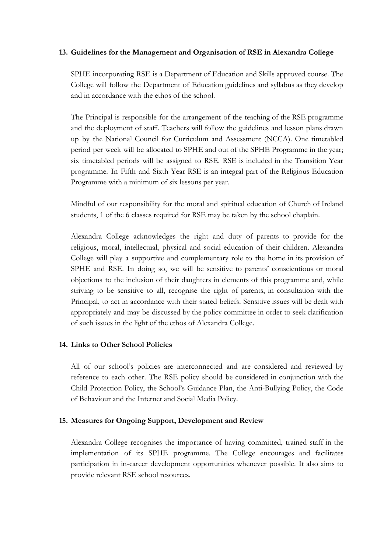## **13. Guidelines for the Management and Organisation of RSE in Alexandra College**

SPHE incorporating RSE is a Department of Education and Skills approved course. The College will follow the Department of Education guidelines and syllabus as they develop and in accordance with the ethos of the school.

The Principal is responsible for the arrangement of the teaching of the RSE programme and the deployment of staff. Teachers will follow the guidelines and lesson plans drawn up by the National Council for Curriculum and Assessment (NCCA). One timetabled period per week will be allocated to SPHE and out of the SPHE Programme in the year; six timetabled periods will be assigned to RSE. RSE is included in the Transition Year programme. In Fifth and Sixth Year RSE is an integral part of the Religious Education Programme with a minimum of six lessons per year.

Mindful of our responsibility for the moral and spiritual education of Church of Ireland students, 1 of the 6 classes required for RSE may be taken by the school chaplain.

Alexandra College acknowledges the right and duty of parents to provide for the religious, moral, intellectual, physical and social education of their children. Alexandra College will play a supportive and complementary role to the home in its provision of SPHE and RSE. In doing so, we will be sensitive to parents' conscientious or moral objections to the inclusion of their daughters in elements of this programme and, while striving to be sensitive to all, recognise the right of parents, in consultation with the Principal, to act in accordance with their stated beliefs. Sensitive issues will be dealt with appropriately and may be discussed by the policy committee in order to seek clarification of such issues in the light of the ethos of Alexandra College.

# **14. Links to Other School Policies**

All of our school's policies are interconnected and are considered and reviewed by reference to each other. The RSE policy should be considered in conjunction with the Child Protection Policy, the School's Guidance Plan, the Anti-Bullying Policy, the Code of Behaviour and the Internet and Social Media Policy.

## **15. Measures for Ongoing Support, Development and Review**

Alexandra College recognises the importance of having committed, trained staff in the implementation of its SPHE programme. The College encourages and facilitates participation in in-career development opportunities whenever possible. It also aims to provide relevant RSE school resources.